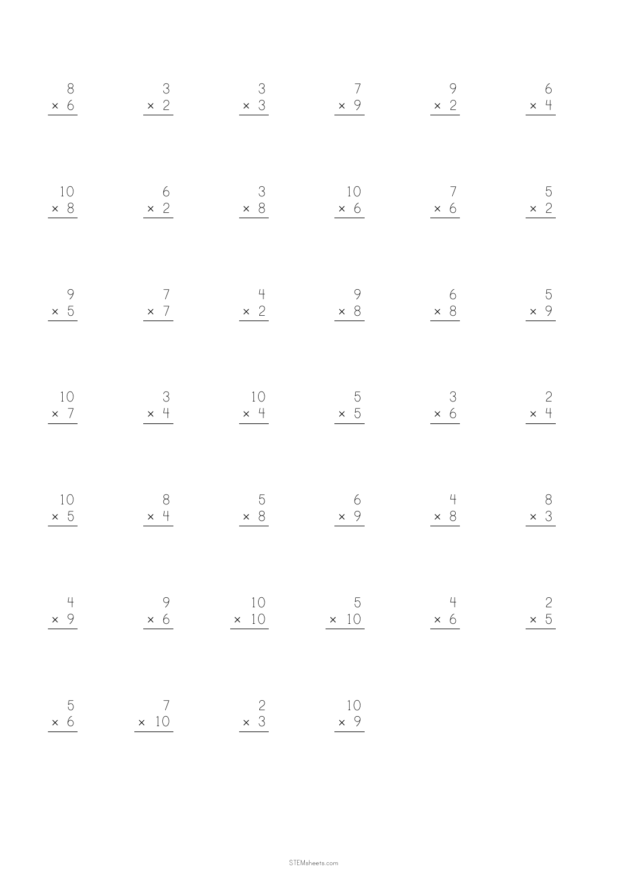| $\overline{5}$<br>$\times$ 6<br>$\times$ 10  | $\overline{4}$<br>$\times$ 9                 | $\begin{array}{c}\n10 \\ \times 5\n\end{array}$ | $\begin{array}{c}\n10 \\ \times 7\n\end{array}$ | $\begin{array}{c} 9 \\ \times 5 \end{array}$                            | $\begin{array}{c}\n10 \\ \times 8\n\end{array}$                    | $8\n\n\times 6\n\n\overline{6}$                |
|----------------------------------------------|----------------------------------------------|-------------------------------------------------|-------------------------------------------------|-------------------------------------------------------------------------|--------------------------------------------------------------------|------------------------------------------------|
| $\overline{7}$                               | $\begin{array}{r} 9 \\ \times 6 \end{array}$ | $\begin{array}{c} 8 \\ \times 4 \end{array}$    | $\begin{array}{c}\n3 \\ \times 4\n\end{array}$  | $\begin{array}{c c}\n7 & & & 4 \\ \times 7 & & \times 2 \\ \end{array}$ | $6 \times 2$                                                       | $\begin{array}{r} 3 \\ \times 2 \end{array}$   |
| $\begin{array}{c} 2 \\ \times 3 \end{array}$ | 10<br>$\times$ 10                            | $\begin{array}{r} 5 \\ \times 8 \end{array}$    | $\begin{array}{c}\n10 \\ \times 4\n\end{array}$ |                                                                         | $\begin{array}{c c}\n3 & 10 \\ \times 8 & \times 6 \\ \end{array}$ | $\begin{array}{r} 3 \\ \times 3 \end{array}$   |
| 10                                           | $\overline{5}$<br>$\times$ 10                | $\begin{array}{c}\n6 \\ \times 9\n\end{array}$  | $\frac{5}{\times 5}$                            | $\begin{array}{c}\n 9 \\  \times 8\n \end{array}$                       |                                                                    | $\begin{array}{c}\n7 \\ \times 9\n\end{array}$ |
|                                              | 4<br>$\times$ 6                              | $\begin{array}{r} 4 \\ \times 8 \end{array}$    | $\begin{array}{r} 3 \\ \times 6 \end{array}$    | $\begin{array}{r} 6 \\ \times 8 \end{array}$                            | $\begin{array}{c}\n7 \\ \times 6\n\end{array}$                     | $\begin{array}{r} 9 \\ \times 2 \end{array}$   |
|                                              | $\begin{array}{c} 2 \\ \times \end{array}$   | $8\n\n\times 3\n\n\n\sqrt{}$                    | $\begin{array}{c}2\\ \times 4\end{array}$       | $\begin{array}{r} 5 \\ \times 9 \end{array}$                            | $\begin{array}{r} 5 \\ \times 2 \end{array}$                       | $\begin{array}{c}\n6 \\ \times 4\n\end{array}$ |